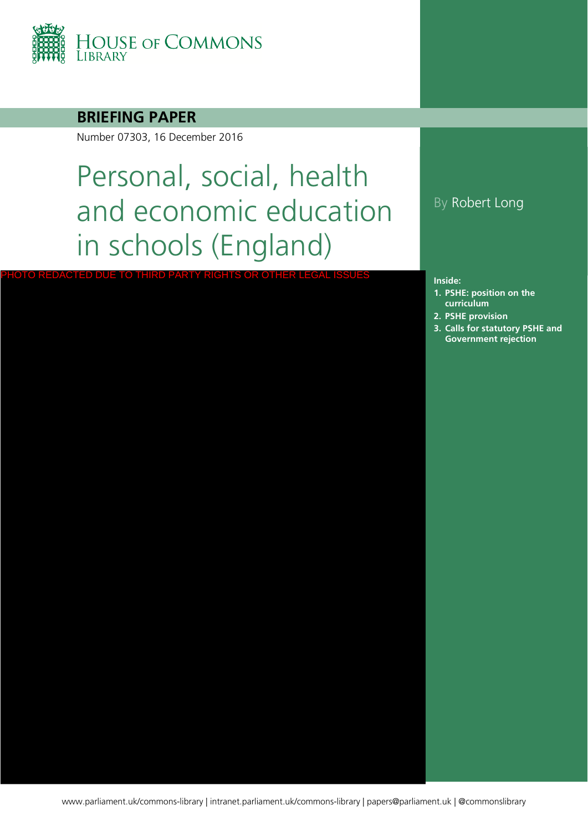

## **BRIEFING PAPER**

Number 07303, 16 December 2016

PHOTO REDACTED DUE TO THIRD PARTY RIGHTS OR OTHER LEGAL ISSUES

# Personal, social, health and economic education in schools (England)

## By Robert Long

#### **Inside:**

- **1. [PSHE: position on the](#page-3-0)  curriculum**
- **2. [PSHE provision](#page-7-0)**
- **3. Calls for statutory PSHE and Government rejection**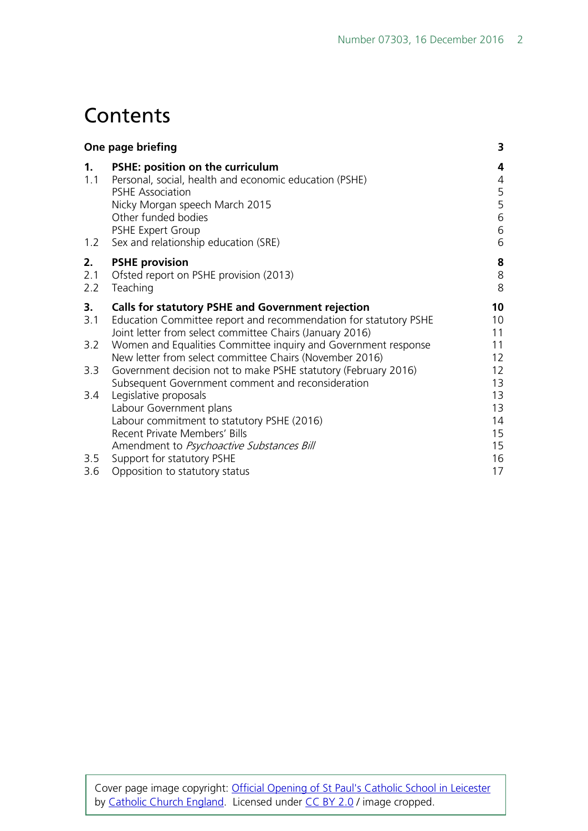## **Contents**

| One page briefing |                                                                                                                                                                                                                                             | 3                                                                |
|-------------------|---------------------------------------------------------------------------------------------------------------------------------------------------------------------------------------------------------------------------------------------|------------------------------------------------------------------|
| 1.<br>1.1<br>1.2  | PSHE: position on the curriculum<br>Personal, social, health and economic education (PSHE)<br><b>PSHE Association</b><br>Nicky Morgan speech March 2015<br>Other funded bodies<br>PSHE Expert Group<br>Sex and relationship education (SRE) | 4<br>$\overline{4}$<br>5<br>5<br>$\,$ 6 $\,$<br>$\,$ 6 $\,$<br>6 |
| 2.<br>2.1<br>2.2  | <b>PSHE provision</b><br>Ofsted report on PSHE provision (2013)<br>Teaching                                                                                                                                                                 | 8<br>$\,8$<br>8                                                  |
| 3.<br>3.1         | <b>Calls for statutory PSHE and Government rejection</b><br>Education Committee report and recommendation for statutory PSHE<br>Joint letter from select committee Chairs (January 2016)                                                    | 10<br>10<br>11                                                   |
| 3.2               | Women and Equalities Committee inquiry and Government response<br>New letter from select committee Chairs (November 2016)                                                                                                                   | 11<br>12                                                         |
| 3.3               | Government decision not to make PSHE statutory (February 2016)<br>Subsequent Government comment and reconsideration                                                                                                                         | 12<br>13                                                         |
| 3.4               | Legislative proposals<br>Labour Government plans<br>Labour commitment to statutory PSHE (2016)<br>Recent Private Members' Bills<br>Amendment to Psychoactive Substances Bill                                                                | 13<br>13<br>14<br>15<br>15                                       |
| 3.5<br>3.6        | Support for statutory PSHE<br>Opposition to statutory status                                                                                                                                                                                | 16<br>17                                                         |
|                   |                                                                                                                                                                                                                                             |                                                                  |

Cover page image copyright: [Official Opening of St Paul's Catholic School](https://www.flickr.com/photos/catholicism/16468633404/in/photolist-r6h3Xf-rKGV8L-s39HAw-rKFDJu-r6u43R-rKEfYG-nsTGgs-ad7xgp-9e4gXq-9uEcAJ-qrJGXJ-eepbm-6rcN13-5i9SLE-7Dkdgq-tQX4oR-mr81Y3-4kudXv-9H4VtM-gXHe1d-6Ya6wF-otXYGN-6HPwgi-7oBZwz-8eCKgN-sry38Y-6y4D85-rUtJdM-dZgc3Q-7ZMFCk-9u1Hrn-k7hLbk-87RBa8-dtZLj9-uyCEXn-a2NMC9-5RpyJF-e7gFa-4gEeri-9F5f4s-8RCnVm-pNdKo8-e5xi47-9VpaoU-9UGjcG-5qQmNL-89TAR6-dEuSpJ-quL4iA-fYs8c) in Leicester by [Catholic Church England.](https://www.flickr.com/photos/catholicism/) Licensed under [CC BY 2.0](https://creativecommons.org/licenses/by-nc-sa/2.0/) / image cropped.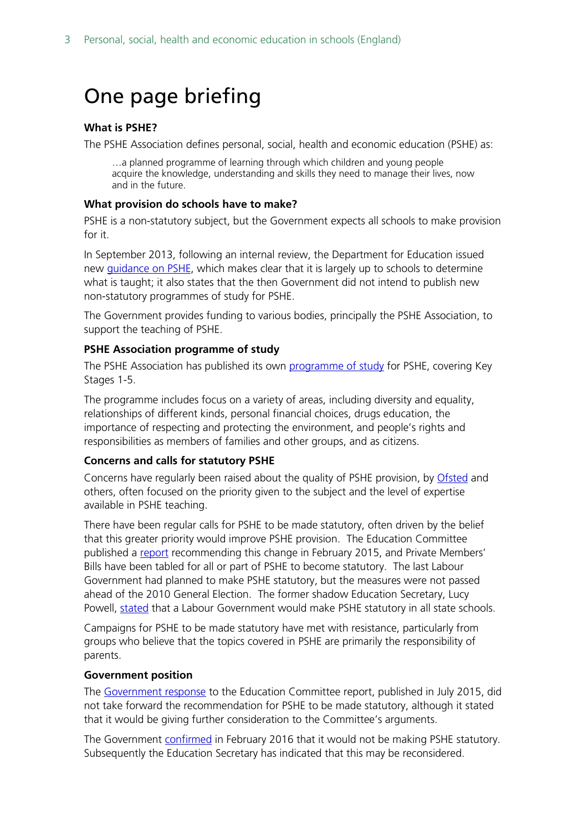## <span id="page-2-0"></span>One page briefing

#### **What is PSHE?**

The PSHE Association defines personal, social, health and economic education (PSHE) as:

…a planned programme of learning through which children and young people acquire the knowledge, understanding and skills they need to manage their lives, now and in the future.

#### **What provision do schools have to make?**

PSHE is a non-statutory subject, but the Government expects all schools to make provision for it.

In September 2013, following an internal review, the Department for Education issued new [guidance on PSHE,](https://www.gov.uk/government/publications/personal-social-health-and-economic-education-pshe/personal-social-health-and-economic-pshe-education%23contents) which makes clear that it is largely up to schools to determine what is taught; it also states that the then Government did not intend to publish new non-statutory programmes of study for PSHE.

The Government provides funding to various bodies, principally the PSHE Association, to support the teaching of PSHE.

#### **PSHE Association programme of study**

The PSHE Association has published its own [programme of study](https://www.pshe-association.org.uk/resources_search_details.aspx?ResourceId=495&Keyword=programme&SubjectID=0&LevelID=0&ResourceTypeID=3&SuggestedUseID=0) for PSHE, covering Key Stages 1-5.

The programme includes focus on a variety of areas, including diversity and equality, relationships of different kinds, personal financial choices, drugs education, the importance of respecting and protecting the environment, and people's rights and responsibilities as members of families and other groups, and as citizens.

#### **Concerns and calls for statutory PSHE**

Concerns have regularly been raised about the quality of PSHE provision, by [Ofsted](https://www.gov.uk/government/publications/not-yet-good-enough-personal-social-health-and-economic-education) and others, often focused on the priority given to the subject and the level of expertise available in PSHE teaching.

There have been regular calls for PSHE to be made statutory, often driven by the belief that this greater priority would improve PSHE provision. The Education Committee published a [report](http://www.publications.parliament.uk/pa/cm201415/cmselect/cmeduc/145/145.pdf) recommending this change in February 2015, and Private Members' Bills have been tabled for all or part of PSHE to become statutory. The last Labour Government had planned to make PSHE statutory, but the measures were not passed ahead of the 2010 General Election. The former shadow Education Secretary, Lucy Powell, [stated](http://www.thetimes.co.uk/tto/opinion/thunderer/article4718516.ece) that a Labour Government would make PSHE statutory in all state schools.

Campaigns for PSHE to be made statutory have met with resistance, particularly from groups who believe that the topics covered in PSHE are primarily the responsibility of parents.

#### **Government position**

The [Government response](https://www.gov.uk/government/uploads/system/uploads/attachment_data/file/446038/50742_Cm_9121_Web.pdf) to the Education Committee report, published in July 2015, did not take forward the recommendation for PSHE to be made statutory, although it stated that it would be giving further consideration to the Committee's arguments.

The Government [confirmed](http://www.parliament.uk/documents/commons-committees/Education/Letter-from-the-Secretary-of-State-to-the-Committee-on-statutory-status-for-PSHE.pdf) in February 2016 that it would not be making PSHE statutory. Subsequently the Education Secretary has indicated that this may be reconsidered.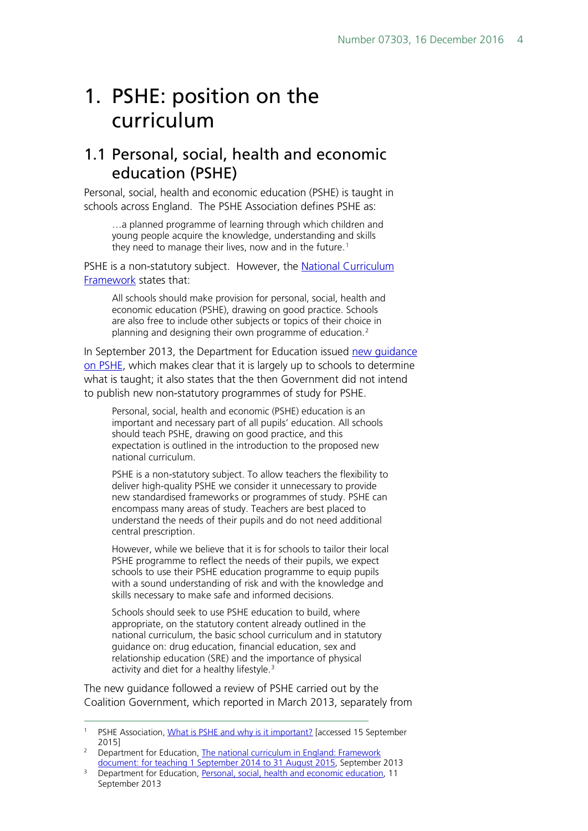## <span id="page-3-0"></span>1. PSHE: position on the curriculum

## <span id="page-3-1"></span>1.1 Personal, social, health and economic education (PSHE)

Personal, social, health and economic education (PSHE) is taught in schools across England. The PSHE Association defines PSHE as:

…a planned programme of learning through which children and young people acquire the knowledge, understanding and skills they need to manage their lives, now and in the future. [1](#page-3-2)

PSHE is a non-statutory subject. However, the [National Curriculum](https://www.gov.uk/government/uploads/system/uploads/attachment_data/file/339805/MASTER_final_national_curriculum_until_sept_2015_11_9_13.pdf)  [Framework](https://www.gov.uk/government/uploads/system/uploads/attachment_data/file/339805/MASTER_final_national_curriculum_until_sept_2015_11_9_13.pdf) states that:

All schools should make provision for personal, social, health and economic education (PSHE), drawing on good practice. Schools are also free to include other subjects or topics of their choice in planning and designing their own programme of education.<sup>[2](#page-3-3)</sup>

In September 2013, the Department for Education issued [new guidance](https://www.gov.uk/government/publications/personal-social-health-and-economic-education-pshe/personal-social-health-and-economic-pshe-education#contents)  [on PSHE,](https://www.gov.uk/government/publications/personal-social-health-and-economic-education-pshe/personal-social-health-and-economic-pshe-education#contents) which makes clear that it is largely up to schools to determine what is taught; it also states that the then Government did not intend to publish new non-statutory programmes of study for PSHE.

Personal, social, health and economic (PSHE) education is an important and necessary part of all pupils' education. All schools should teach PSHE, drawing on good practice, and this expectation is outlined in the introduction to the proposed new national curriculum.

PSHE is a non-statutory subject. To allow teachers the flexibility to deliver high-quality PSHE we consider it unnecessary to provide new standardised frameworks or programmes of study. PSHE can encompass many areas of study. Teachers are best placed to understand the needs of their pupils and do not need additional central prescription.

However, while we believe that it is for schools to tailor their local PSHE programme to reflect the needs of their pupils, we expect schools to use their PSHE education programme to equip pupils with a sound understanding of risk and with the knowledge and skills necessary to make safe and informed decisions.

Schools should seek to use PSHE education to build, where appropriate, on the statutory content already outlined in the national curriculum, the basic school curriculum and in statutory guidance on: drug education, financial education, sex and relationship education (SRE) and the importance of physical activity and diet for a healthy lifestyle.<sup>[3](#page-3-4)</sup>

The new guidance followed a review of PSHE carried out by the Coalition Government, which reported in March 2013, separately from

<span id="page-3-2"></span><sup>&</sup>lt;sup>1</sup> PSHE Association, [What is PSHE and why is it important?](https://www.pshe-association.org.uk/content.aspx?CategoryID=1043) [accessed 15 September 2015]

<span id="page-3-3"></span><sup>&</sup>lt;sup>2</sup> Department for Education, The national curriculum in England: Framework [document: for teaching 1 September 2014 to 31 August 2015,](https://www.gov.uk/government/uploads/system/uploads/attachment_data/file/339805/MASTER_final_national_curriculum_until_sept_2015_11_9_13.pdf) September 2013

<span id="page-3-4"></span><sup>&</sup>lt;sup>3</sup> Department for Education, [Personal, social, health and economic education,](https://www.gov.uk/government/publications/personal-social-health-and-economic-education-pshe/personal-social-health-and-economic-pshe-education#personal-social-health-and-economic-education) 11 September 2013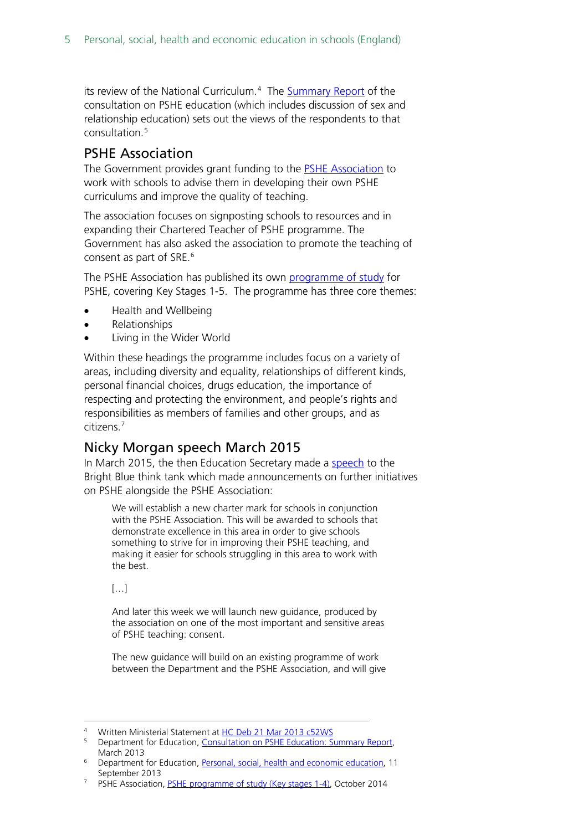its review of the National Curriculum.<sup>[4](#page-4-2)</sup> The [Summary Report](http://media.education.gov.uk/assets/files/pdf/p/pshe%20cons%20report.pdf) of the consultation on PSHE education (which includes discussion of sex and relationship education) sets out the views of the respondents to that consultation.[5](#page-4-3)

## <span id="page-4-0"></span>PSHE Association

The Government provides grant funding to the [PSHE Association](http://www.pshe-association.org.uk/) to work with schools to advise them in developing their own PSHE curriculums and improve the quality of teaching.

The association focuses on signposting schools to resources and in expanding their Chartered Teacher of PSHE programme. The Government has also asked the association to promote the teaching of consent as part of SRE.<sup>[6](#page-4-4)</sup>

The PSHE Association has published its own [programme of study](https://www.pshe-association.org.uk/resources_search_details.aspx?ResourceId=495&Keyword=programme&SubjectID=0&LevelID=0&ResourceTypeID=3&SuggestedUseID=0) for PSHE, covering Key Stages 1-5. The programme has three core themes:

- Health and Wellbeing
- Relationships
- Living in the Wider World

Within these headings the programme includes focus on a variety of areas, including diversity and equality, relationships of different kinds, personal financial choices, drugs education, the importance of respecting and protecting the environment, and people's rights and responsibilities as members of families and other groups, and as citizens. [7](#page-4-5)

## <span id="page-4-1"></span>Nicky Morgan speech March 2015

In March 2015, the then Education Secretary made a [speech](http://brightblue.org.uk/index.php/medias/speeches) to the Bright Blue think tank which made announcements on further initiatives on PSHE alongside the PSHE Association:

We will establish a new charter mark for schools in conjunction with the PSHE Association. This will be awarded to schools that demonstrate excellence in this area in order to give schools something to strive for in improving their PSHE teaching, and making it easier for schools struggling in this area to work with the best.

[…]

And later this week we will launch new guidance, produced by the association on one of the most important and sensitive areas of PSHE teaching: consent.

The new guidance will build on an existing programme of work between the Department and the PSHE Association, and will give

Written Ministerial Statement a[t HC Deb 21 Mar 2013 c52WS](http://www.publications.parliament.uk/pa/cm201213/cmhansrd/cm130321/wmstext/130321m0001.htm#13032159000004)

<span id="page-4-3"></span><span id="page-4-2"></span><sup>5</sup> Department for Education, [Consultation on PSHE Education: Summary Report,](http://media.education.gov.uk/assets/files/pdf/p/pshe%20cons%20report.pdf)  March 2013

<span id="page-4-4"></span><sup>6</sup> Department for Education, [Personal, social, health and economic education,](https://www.gov.uk/government/publications/personal-social-health-and-economic-education-pshe/personal-social-health-and-economic-pshe-education#contents) 11 September 2013

<span id="page-4-5"></span><sup>&</sup>lt;sup>7</sup> PSHE Association, [PSHE programme of study \(Key stages 1-4\),](https://www.pshe-association.org.uk/resources_search_details.aspx?ResourceId=495&Keyword=programme&SubjectID=0&LevelID=0&ResourceTypeID=3&SuggestedUseID=0) October 2014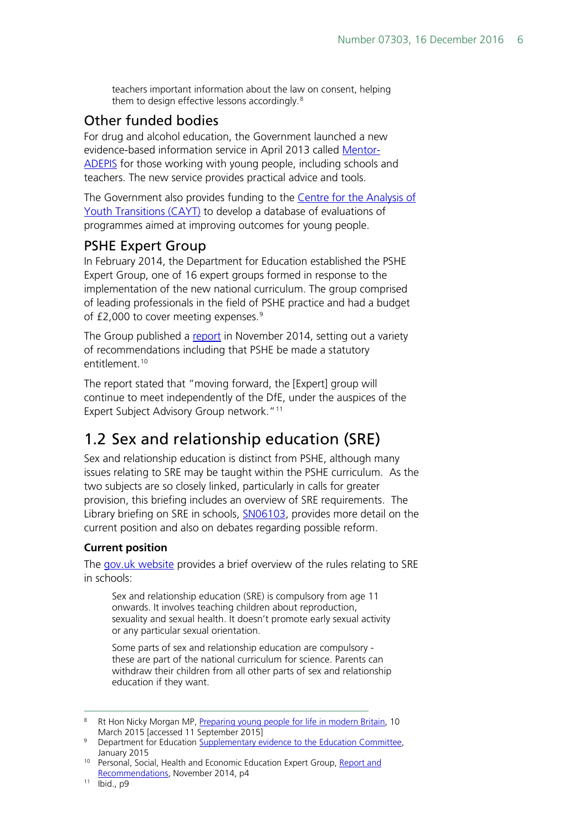teachers important information about the law on consent, helping them to design effective lessons accordingly.<sup>[8](#page-5-3)</sup>

## <span id="page-5-0"></span>Other funded bodies

For drug and alcohol education, the Government launched a new evidence-based information service in April 2013 called [Mentor-](http://mentor-adepis.org/)[ADEPIS](http://mentor-adepis.org/) for those working with young people, including schools and teachers. The new service provides practical advice and tools.

The Government also provides funding to the Centre for the Analysis of Youth [Transitions \(CAYT\)](http://www.ifs.org.uk/centres/cayt) to develop a database of evaluations of programmes aimed at improving outcomes for young people.

## <span id="page-5-1"></span>PSHE Expert Group

In February 2014, the Department for Education established the PSHE Expert Group, one of 16 expert groups formed in response to the implementation of the new national curriculum. The group comprised of leading professionals in the field of PSHE practice and had a budget of  $£2,000$  to cover meeting expenses.<sup>[9](#page-5-4)</sup>

The Group published a [report](https://pshe-association.org.uk/uploads/media/17/8025.pdf) in November 2014, setting out a variety of recommendations including that PSHE be made a statutory entitlement.<sup>10</sup>

The report stated that "moving forward, the [Expert] group will continue to meet independently of the DfE, under the auspices of the Expert Subject Advisory Group network."<sup>[11](#page-5-6)</sup>

## <span id="page-5-2"></span>1.2 Sex and relationship education (SRE)

Sex and relationship education is distinct from PSHE, although many issues relating to SRE may be taught within the PSHE curriculum. As the two subjects are so closely linked, particularly in calls for greater provision, this briefing includes an overview of SRE requirements. The Library briefing on SRE in schools, **SN06103**, provides more detail on the current position and also on debates regarding possible reform.

### **Current position**

The [gov.uk website](https://www.gov.uk/national-curriculum/other-compulsory-subjects) provides a brief overview of the rules relating to SRE in schools:

Sex and relationship education (SRE) is compulsory from age 11 onwards. It involves teaching children about reproduction, sexuality and sexual health. It doesn't promote early sexual activity or any particular sexual orientation.

Some parts of sex and relationship education are compulsory these are part of the national curriculum for science. Parents can withdraw their children from all other parts of sex and relationship education if they want.

<span id="page-5-3"></span><sup>&</sup>lt;sup>8</sup> Rt Hon Nicky Morgan MP, [Preparing young people for life in modern Britain,](http://brightblue.org.uk/index.php/medias/speeches) 10 March 2015 [accessed 11 September 2015]

<span id="page-5-4"></span><sup>&</sup>lt;sup>9</sup> Department for Education [Supplementary evidence to](http://data.parliament.uk/writtenevidence/committeeevidence.svc/evidencedocument/education-committee/personal-social-health-and-economic-education-and-sex-and-relationships-education-in-schools/written/17177.html) the Education Committee, January 2015

<span id="page-5-5"></span><sup>&</sup>lt;sup>10</sup> Personal, Social, Health and Economic Education Expert Group, Report and [Recommendations,](https://pshe-association.org.uk/uploads/media/17/8025.pdf) November 2014, p4

<span id="page-5-6"></span><sup>11</sup> Ibid., p9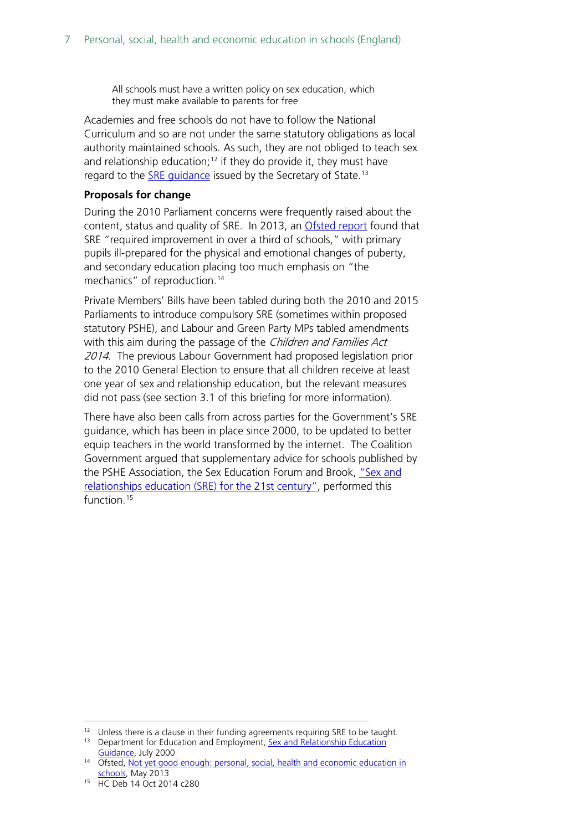All schools must have a written policy on sex education, which they must make available to parents for free

Academies and free schools do not have to follow the National Curriculum and so are not under the same statutory obligations as local authority maintained schools. As such, they are not obliged to teach sex and relationship education;<sup>[12](#page-6-0)</sup> if they do provide it, they must have regard to the **SRE** quidance issued by the Secretary of State.<sup>[13](#page-6-1)</sup>

#### **Proposals for change**

During the 2010 Parliament concerns were frequently raised about the content, status and quality of SRE. In 2013, an [Ofsted report](https://www.gov.uk/government/publications/not-yet-good-enough-personal-social-health-and-economic-education) found that SRE "required improvement in over a third of schools," with primary pupils ill-prepared for the physical and emotional changes of puberty, and secondary education placing too much emphasis on "the mechanics" of reproduction.<sup>[14](#page-6-2)</sup>

Private Members' Bills have been tabled during both the 2010 and 2015 Parliaments to introduce compulsory SRE (sometimes within proposed statutory PSHE), and Labour and Green Party MPs tabled amendments with this aim during the passage of the Children and Families Act 2014. The previous Labour Government had proposed legislation prior to the 2010 General Election to ensure that all children receive at least one year of sex and relationship education, but the relevant measures did not pass (see section 3.1 of this briefing for more information).

There have also been calls from across parties for the Government's SRE guidance, which has been in place since 2000, to be updated to better equip teachers in the world transformed by the internet. The Coalition Government argued that supplementary advice for schools published by the PSHE Association, the Sex Education Forum and Brook, "Sex and [relationships education \(SRE\) for the 21st century",](https://www.pshe-association.org.uk/resources_search_details.aspx?ResourceId=526) performed this function.<sup>[15](#page-6-3)</sup>

 $12$  Unless there is a clause in their funding agreements requiring SRE to be taught.

<span id="page-6-1"></span><span id="page-6-0"></span><sup>&</sup>lt;sup>13</sup> Department for Education and Employment, Sex and Relationship Education [Guidance,](https://www.gov.uk/government/uploads/system/uploads/attachment_data/file/283599/sex_and_relationship_education_guidance.pdf) July 2000

<span id="page-6-2"></span><sup>&</sup>lt;sup>14</sup> Ofsted, Not yet good enough: personal, social, health and economic education in [schools,](https://www.gov.uk/government/publications/not-yet-good-enough-personal-social-health-and-economic-education) May 2013

<span id="page-6-3"></span><sup>15</sup> HC Deb 14 Oct 2014 c280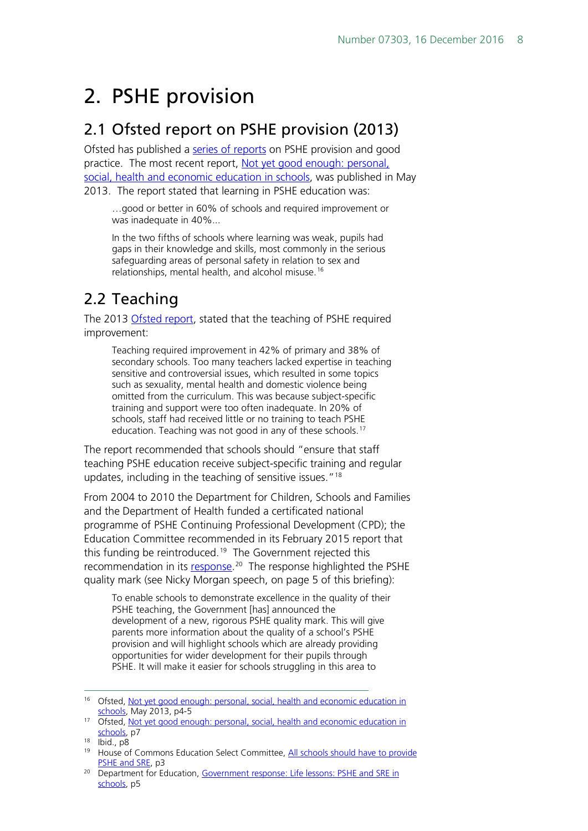## <span id="page-7-0"></span>2. PSHE provision

## <span id="page-7-1"></span>2.1 Ofsted report on PSHE provision (2013)

Ofsted has published a [series of reports](http://webarchive.nationalarchives.gov.uk/20141124154759/http:/www.ofsted.gov.uk/inspection-reports/our-expert-knowledge/personal-social-and-health-education-pshe) on PSHE provision and good practice. The most recent report, Not yet good enough: personal, [social, health and economic education in schools,](https://www.gov.uk/government/publications/not-yet-good-enough-personal-social-health-and-economic-education) was published in May 2013. The report stated that learning in PSHE education was:

…good or better in 60% of schools and required improvement or was inadequate in 40%...

In the two fifths of schools where learning was weak, pupils had gaps in their knowledge and skills, most commonly in the serious safeguarding areas of personal safety in relation to sex and relationships, mental health, and alcohol misuse.<sup>[16](#page-7-3)</sup>

## <span id="page-7-2"></span>2.2 Teaching

The 2013 [Ofsted report,](https://www.gov.uk/government/publications/not-yet-good-enough-personal-social-health-and-economic-education) stated that the teaching of PSHE required improvement:

Teaching required improvement in 42% of primary and 38% of secondary schools. Too many teachers lacked expertise in teaching sensitive and controversial issues, which resulted in some topics such as sexuality, mental health and domestic violence being omitted from the curriculum. This was because subject-specific training and support were too often inadequate. In 20% of schools, staff had received little or no training to teach PSHE education. Teaching was not good in any of these schools.<sup>[17](#page-7-4)</sup>

The report recommended that schools should "ensure that staff teaching PSHE education receive subject-specific training and regular updates, including in the teaching of sensitive issues."<sup>[18](#page-7-5)</sup>

From 2004 to 2010 the Department for Children, Schools and Families and the Department of Health funded a certificated national programme of PSHE Continuing Professional Development (CPD); the Education Committee recommended in its February 2015 report that this funding be reintroduced.<sup>19</sup> The Government rejected this recommendation in its [response.](https://www.gov.uk/government/publications/pshe-and-sre-in-schools-government-response)<sup>20</sup> The response highlighted the PSHE quality mark (see Nicky Morgan speech, on page 5 of this briefing):

To enable schools to demonstrate excellence in the quality of their PSHE teaching, the Government [has] announced the development of a new, rigorous PSHE quality mark. This will give parents more information about the quality of a school's PSHE provision and will highlight schools which are already providing opportunities for wider development for their pupils through PSHE. It will make it easier for schools struggling in this area to

<span id="page-7-3"></span> <sup>16</sup> Ofsted, [Not yet good enough: personal, social, health and economic education in](https://www.gov.uk/government/uploads/system/uploads/attachment_data/file/413178/Not_yet_good_enough_personal__social__health_and_economic_education_in_schools.pdf)  [schools,](https://www.gov.uk/government/uploads/system/uploads/attachment_data/file/413178/Not_yet_good_enough_personal__social__health_and_economic_education_in_schools.pdf) May 2013, p4-5

<span id="page-7-4"></span><sup>&</sup>lt;sup>17</sup> Ofsted, Not yet good enough: personal, social, health and economic education in [schools,](https://www.gov.uk/government/uploads/system/uploads/attachment_data/file/413178/Not_yet_good_enough_personal__social__health_and_economic_education_in_schools.pdf) p7

<span id="page-7-5"></span><sup>18</sup> Ibid., p8

<span id="page-7-6"></span><sup>&</sup>lt;sup>19</sup> House of Commons Education Select Committee, All schools should have to provide [PSHE and SRE,](http://www.parliament.uk/business/committees/committees-a-z/commons-select/education-committee/news/pshe-sre-report/) p3

<span id="page-7-7"></span><sup>&</sup>lt;sup>20</sup> Department for Education, Government response: Life lessons: PSHE and SRE in [schools,](https://www.gov.uk/government/uploads/system/uploads/attachment_data/file/446038/50742_Cm_9121_Web.pdf) p5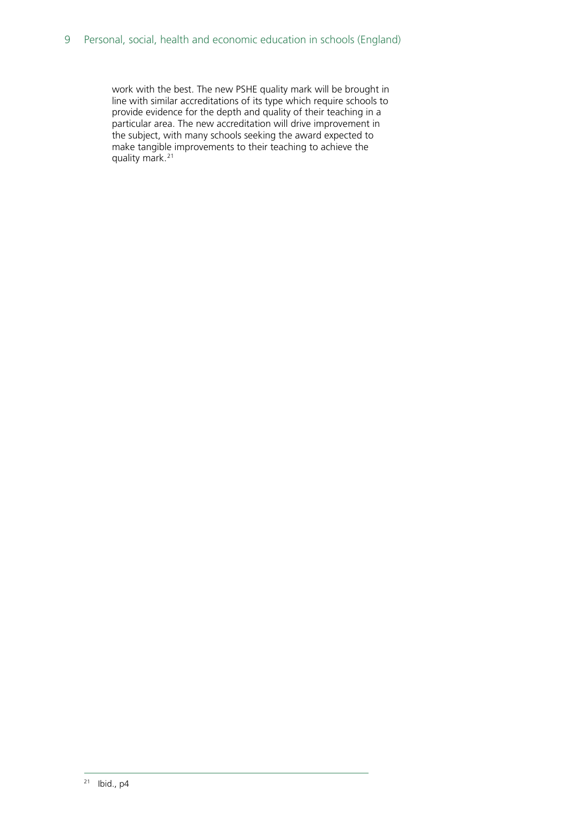<span id="page-8-0"></span>work with the best. The new PSHE quality mark will be brought in line with similar accreditations of its type which require schools to provide evidence for the depth and quality of their teaching in a particular area. The new accreditation will drive improvement in the subject, with many schools seeking the award expected to make tangible improvements to their teaching to achieve the quality mark.[21](#page-8-0)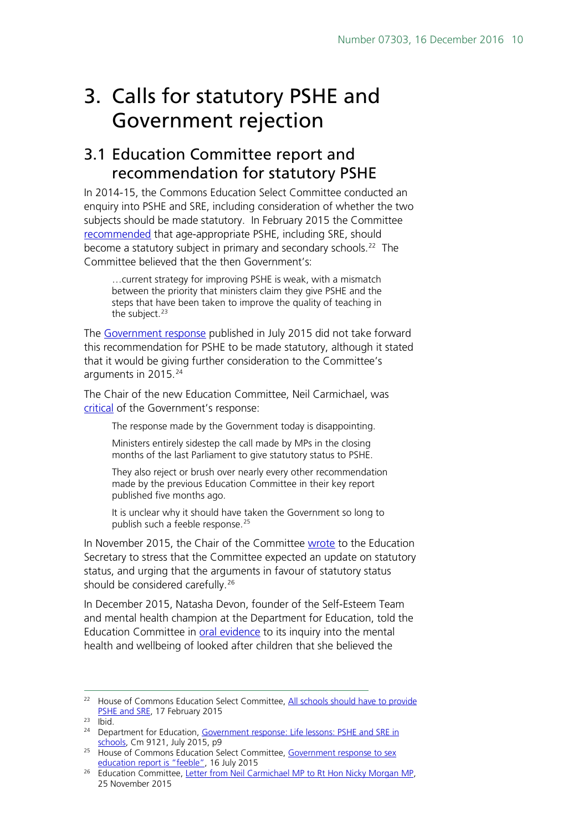## <span id="page-9-0"></span>3. Calls for statutory PSHE and Government rejection

## <span id="page-9-1"></span>3.1 Education Committee report and recommendation for statutory PSHE

In 2014-15, the Commons Education Select Committee conducted an enquiry into PSHE and SRE, including consideration of whether the two subjects should be made statutory. In February 2015 the Committee [recommended](http://www.publications.parliament.uk/pa/cm201415/cmselect/cmeduc/145/145.pdf) that age-appropriate PSHE, including SRE, should become a statutory subject in primary and secondary schools.<sup>[22](#page-9-2)</sup> The Committee believed that the then Government's:

…current strategy for improving PSHE is weak, with a mismatch between the priority that ministers claim they give PSHE and the steps that have been taken to improve the quality of teaching in the subject.<sup>[23](#page-9-3)</sup>

The [Government response](https://www.gov.uk/government/uploads/system/uploads/attachment_data/file/446038/50742_Cm_9121_Web.pdf) published in July 2015 did not take forward this recommendation for PSHE to be made statutory, although it stated that it would be giving further consideration to the Committee's arguments in 2015. [24](#page-9-4)

The Chair of the new Education Committee, Neil Carmichael, was [critical](http://www.parliament.uk/business/committees/committees-a-z/commons-select/education-committee/news-parliament-2015/comment-sex-education-15-16/) of the Government's response:

The response made by the Government today is disappointing.

Ministers entirely sidestep the call made by MPs in the closing months of the last Parliament to give statutory status to PSHE.

They also reject or brush over nearly every other recommendation made by the previous Education Committee in their key report published five months ago.

It is unclear why it should have taken the Government so long to publish such a feeble response.<sup>[25](#page-9-5)</sup>

In November 2015, the Chair of the Committee [wrote](http://www.parliament.uk/documents/commons-committees/Education/Letter-from-the-Committee-to-the-Secretary-of-State-regarding-statutory-status-for-PSHE.pdf) to the Education Secretary to stress that the Committee expected an update on statutory status, and urging that the arguments in favour of statutory status should be considered carefully.<sup>[26](#page-9-6)</sup>

In December 2015, Natasha Devon, founder of the Self-Esteem Team and mental health champion at the Department for Education, told the Education Committee in [oral evidence](http://data.parliament.uk/writtenevidence/committeeevidence.svc/evidencedocument/education-committee/mental-health-and-wellbeing-of-looked-after-children/oral/26126.html) to its inquiry into the mental health and wellbeing of looked after children that she believed the

<span id="page-9-2"></span><sup>&</sup>lt;sup>22</sup> House of Commons Education Select Committee, [All schools should have](http://www.parliament.uk/business/committees/committees-a-z/commons-select/education-committee/news/pshe-sre-report/) to provide [PSHE and SRE,](http://www.parliament.uk/business/committees/committees-a-z/commons-select/education-committee/news/pshe-sre-report/) 17 February 2015

<span id="page-9-3"></span> $23$  Ibid.

<span id="page-9-4"></span><sup>&</sup>lt;sup>24</sup> Department for Education, Government response: Life lessons: PSHE and SRE in [schools,](https://www.gov.uk/government/uploads/system/uploads/attachment_data/file/446038/50742_Cm_9121_Web.pdf) Cm 9121, July 2015, p9

<span id="page-9-5"></span><sup>&</sup>lt;sup>25</sup> House of Commons Education Select Committee, Government response to sex [education report is "feeble",](http://www.parliament.uk/business/committees/committees-a-z/commons-select/education-committee/news-parliament-2015/comment-sex-education-15-16/) 16 July 2015

<span id="page-9-6"></span><sup>&</sup>lt;sup>26</sup> Education Committee, [Letter from Neil Carmichael MP to Rt Hon Nicky Morgan MP,](http://www.parliament.uk/documents/commons-committees/Education/Letter-from-the-Committee-to-the-Secretary-of-State-regarding-statutory-status-for-PSHE.pdf) 25 November 2015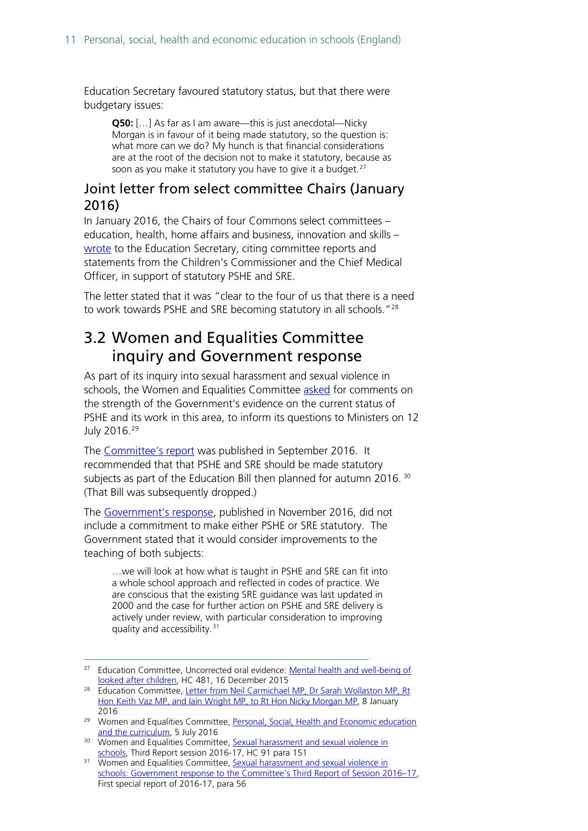Education Secretary favoured statutory status, but that there were budgetary issues:

**Q50:** […] As far as I am aware—this is just anecdotal—Nicky Morgan is in favour of it being made statutory, so the question is: what more can we do? My hunch is that financial considerations are at the root of the decision not to make it statutory, because as soon as you make it statutory you have to give it a budget.<sup>[27](#page-10-2)</sup>

### <span id="page-10-0"></span>Joint letter from select committee Chairs (January 2016)

In January 2016, the Chairs of four Commons select committees – education, health, home affairs and business, innovation and skills – [wrote](http://www.parliament.uk/documents/commons-committees/Education/Chairs) to the Education Secretary, citing committee reports and statements from the Children's Commissioner and the Chief Medical Officer, in support of statutory PSHE and SRE.

The letter stated that it was "clear to the four of us that there is a need to work towards PSHE and SRE becoming statutory in all schools."<sup>[28](#page-10-3)</sup>

## <span id="page-10-1"></span>3.2 Women and Equalities Committee inquiry and Government response

As part of its inquiry into sexual harassment and sexual violence in schools, the Women and Equalities Committee [asked](http://www.parliament.uk/business/committees/committees-a-z/commons-select/women-and-equalities-committee/dfe-evidence-check-forum/curriculum-and-personal-social-health-and-economic-education/) for comments on the strength of the Government's evidence on the current status of PSHE and its work in this area, to inform its questions to Ministers on 12 July 2016.[29](#page-10-4)

The [Committee's report](http://www.parliament.uk/business/committees/committees-a-z/commons-select/women-and-equalities-committee/news-parliament-2015/sexual-harassment-and-violence-in-schools-report-published-16-17/) was published in September 2016. It recommended that that PSHE and SRE should be made statutory subjects as part of the Education Bill then planned for autumn 2016.<sup>[30](#page-10-5)</sup> (That Bill was subsequently dropped.)

The [Government's response,](http://www.parliament.uk/business/committees/committees-a-z/commons-select/women-and-equalities-committee/news-parliament-2015/sexual-harassment-and-sexual-violence-in-schools-government-response-published-16-17/) published in November 2016, did not include a commitment to make either PSHE or SRE statutory. The Government stated that it would consider improvements to the teaching of both subjects:

…we will look at how what is taught in PSHE and SRE can fit into a whole school approach and reflected in codes of practice. We are conscious that the existing SRE guidance was last updated in 2000 and the case for further action on PSHE and SRE delivery is actively under review, with particular consideration to improving quality and accessibility.[31](#page-10-6)

<span id="page-10-2"></span><sup>&</sup>lt;sup>27</sup> Education Committee, Uncorrected oral evidence: Mental health and well-being of [looked after children,](http://www.parliament.uk/business/committees/committees-a-z/commons-select/education-committee/inquiries/parliament-2015/mental-health-children-15-16/) HC 481, 16 December 2015

<span id="page-10-3"></span><sup>&</sup>lt;sup>28</sup> Education Committee, Letter from Neil Carmichael MP, Dr Sarah Wollaston MP, Rt [Hon Keith Vaz MP, and Iain Wright MP, to Rt Hon Nicky Morgan MP,](http://www.parliament.uk/documents/commons-committees/Education/Chairs) 8 January 2016

<span id="page-10-4"></span><sup>&</sup>lt;sup>29</sup> Women and Equalities Committee, Personal, Social, Health and Economic education [and the curriculum,](http://www.parliament.uk/business/committees/committees-a-z/commons-select/women-and-equalities-committee/dfe-evidence-check-forum/curriculum-and-personal-social-health-and-economic-education/) 5 July 2016

<span id="page-10-5"></span><sup>&</sup>lt;sup>30</sup> Women and Equalities Committee, Sexual harassment and sexual violence in [schools,](http://www.publications.parliament.uk/pa/cm201617/cmselect/cmwomeq/91/91.pdf) Third Report session 2016-17, HC 91 para 151

<span id="page-10-6"></span><sup>&</sup>lt;sup>31</sup> Women and Equalities Committee, Sexual harassment and sexual violence in [schools: Government response to the Committee's Third Report of Session 2016–17,](http://www.publications.parliament.uk/pa/cm201617/cmselect/cmwomeq/826/826.pdf) First special report of 2016-17, para 56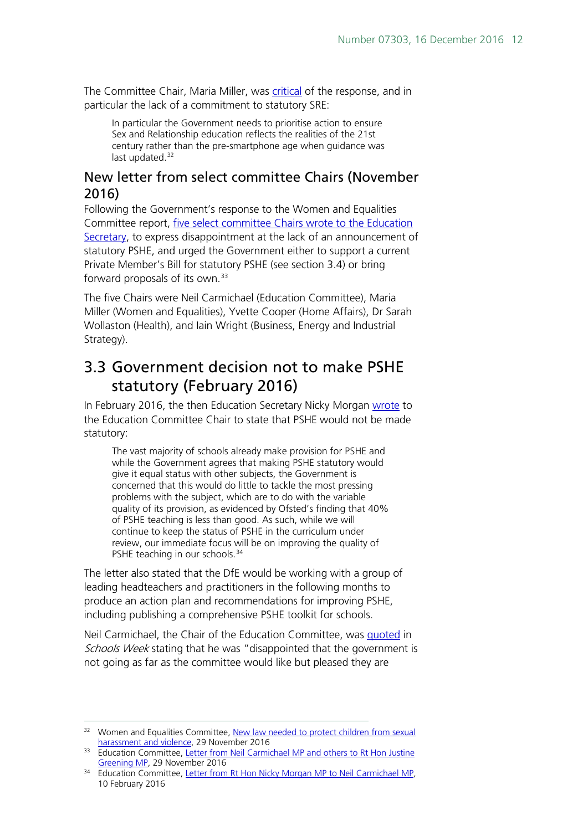The Committee Chair, Maria Miller, was [critical](http://www.parliament.uk/business/committees/committees-a-z/commons-select/women-and-equalities-committee/news-parliament-2015/sexual-harassment-and-sexual-violence-in-schools-government-response-published-16-17/) of the response, and in particular the lack of a commitment to statutory SRE:

In particular the Government needs to prioritise action to ensure Sex and Relationship education reflects the realities of the 21st century rather than the pre-smartphone age when guidance was last updated. [32](#page-11-2)

## <span id="page-11-0"></span>New letter from select committee Chairs (November 2016)

Following the Government's response to the Women and Equalities Committee report, [five select committee Chairs wrote to the Education](http://www.parliament.uk/documents/commons-committees/Education/Correspondence/Chairs-letter-to-Secretary-of-State-re-PSHE-status-29-11-2016.PDF)  [Secretary,](http://www.parliament.uk/documents/commons-committees/Education/Correspondence/Chairs-letter-to-Secretary-of-State-re-PSHE-status-29-11-2016.PDF) to express disappointment at the lack of an announcement of statutory PSHE, and urged the Government either to support a current Private Member's Bill for statutory PSHE (see section 3.4) or bring forward proposals of its own.[33](#page-11-3)

The five Chairs were Neil Carmichael (Education Committee), Maria Miller (Women and Equalities), Yvette Cooper (Home Affairs), Dr Sarah Wollaston (Health), and Iain Wright (Business, Energy and Industrial Strategy).

## <span id="page-11-1"></span>3.3 Government decision not to make PSHE statutory (February 2016)

In February 2016, the then Education Secretary Nicky Morgan [wrote](http://www.parliament.uk/documents/commons-committees/Education/Letter-from-the-Secretary-of-State-to-the-Committee-on-statutory-status-for-PSHE.pdf) to the Education Committee Chair to state that PSHE would not be made statutory:

The vast majority of schools already make provision for PSHE and while the Government agrees that making PSHE statutory would give it equal status with other subjects, the Government is concerned that this would do little to tackle the most pressing problems with the subject, which are to do with the variable quality of its provision, as evidenced by Ofsted's finding that 40% of PSHE teaching is less than good. As such, while we will continue to keep the status of PSHE in the curriculum under review, our immediate focus will be on improving the quality of PSHE teaching in our schools.<sup>[34](#page-11-4)</sup>

The letter also stated that the DfE would be working with a group of leading headteachers and practitioners in the following months to produce an action plan and recommendations for improving PSHE, including publishing a comprehensive PSHE toolkit for schools.

Neil Carmichael, the Chair of the Education Committee, was [quoted](http://schoolsweek.co.uk/government-rules-out-making-pshe-and-sre-statutory/) in Schools Week stating that he was "disappointed that the government is not going as far as the committee would like but pleased they are

<span id="page-11-2"></span><sup>&</sup>lt;sup>32</sup> Women and Equalities Committee, New law needed to protect children from sexual [harassment and violence,](http://www.parliament.uk/business/committees/committees-a-z/commons-select/women-and-equalities-committee/news-parliament-2015/sexual-harassment-and-sexual-violence-in-schools-government-response-published-16-17/) 29 November 2016

<span id="page-11-3"></span><sup>&</sup>lt;sup>33</sup> Education Committee, Letter from Neil Carmichael MP and others to Rt Hon Justine [Greening MP,](http://www.parliament.uk/documents/commons-committees/Education/Correspondence/Chairs-letter-to-Secretary-of-State-re-PSHE-status-29-11-2016.PDF) 29 November 2016

<span id="page-11-4"></span><sup>&</sup>lt;sup>34</sup> Education Committee, [Letter from Rt Hon Nicky Morgan MP to Neil Carmichael MP,](http://www.parliament.uk/documents/commons-committees/Education/Letter-from-the-Secretary-of-State-to-the-Committee-on-statutory-status-for-PSHE.pdf) 10 February 2016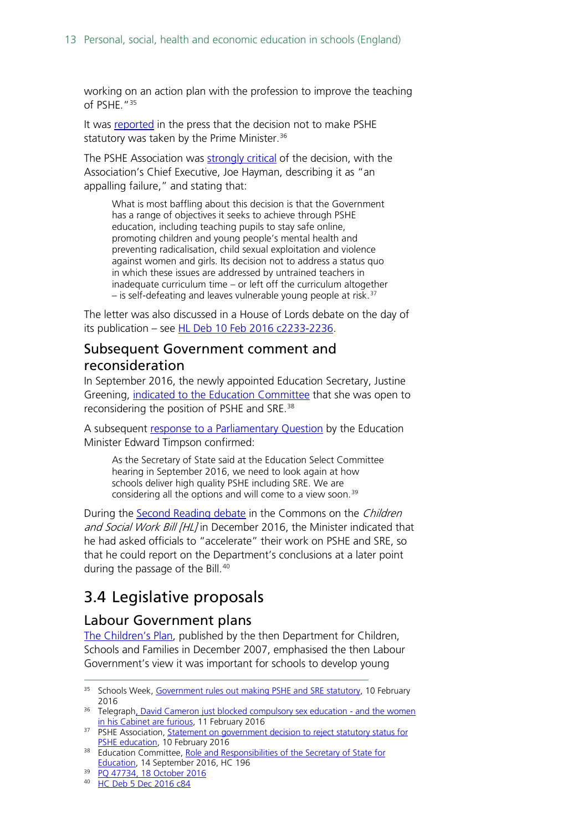working on an action plan with the profession to improve the teaching of PSHE.["35](#page-12-3)

It was [reported](http://www.telegraph.co.uk/women/life/david-cameron-just-blocked-compulsory-sex-education---and-the-wo/) in the press that the decision not to make PSHE statutory was taken by the Prime Minister.<sup>[36](#page-12-4)</sup>

The PSHE Association was [strongly critical](https://www.pshe-association.org.uk/news_detail.aspx?ID=1481) of the decision, with the Association's Chief Executive, Joe Hayman, describing it as "an appalling failure," and stating that:

What is most baffling about this decision is that the Government has a range of objectives it seeks to achieve through PSHE education, including teaching pupils to stay safe online, promoting children and young people's mental health and preventing radicalisation, child sexual exploitation and violence against women and girls. Its decision not to address a status quo in which these issues are addressed by untrained teachers in inadequate curriculum time – or left off the curriculum altogether  $-$  is self-defeating and leaves vulnerable young people at risk.<sup>[37](#page-12-5)</sup>

The letter was also discussed in a House of Lords debate on the day of its publication - see [HL Deb 10 Feb 2016 c2233-2236.](http://www.publications.parliament.uk/pa/ld201516/ldhansrd/text/160210-0001.htm#160210106000432)

## <span id="page-12-0"></span>Subsequent Government comment and reconsideration

In September 2016, the newly appointed Education Secretary, Justine Greening, [indicated to the Education Committee](http://data.parliament.uk/writtenevidence/committeeevidence.svc/evidencedocument/education-committee/role-and-responsibilities-of-the-secretary-of-state/oral/38342.pdf) that she was open to reconsidering the position of PSHE and SRE.<sup>[38](#page-12-6)</sup>

A subsequent [response to a Parliamentary Question](http://www.parliament.uk/written-questions-answers-statements/written-question/commons/2016-10-10/47734) by the Education Minister Edward Timpson confirmed:

As the Secretary of State said at the Education Select Committee hearing in September 2016, we need to look again at how schools deliver high quality PSHE including SRE. We are considering all the options and will come to a view soon.<sup>[39](#page-12-7)</sup>

During the [Second Reading debate](https://hansard.parliament.uk/commons/2016-12-05/debates/F3215438-F9D3-43FA-854E-5EA519D838DD/ChildrenAndSocialWorkBill(Lords)) in the Commons on the Children and Social Work Bill [HL] in December 2016, the Minister indicated that he had asked officials to "accelerate" their work on PSHE and SRE, so that he could report on the Department's conclusions at a later point during the passage of the Bill.<sup>[40](#page-12-8)</sup>

## <span id="page-12-1"></span>3.4 Legislative proposals

### <span id="page-12-2"></span>Labour Government plans

[The Children's Plan,](https://www.gov.uk/government/publications/the-childrens-plan) published by the then Department for Children, Schools and Families in December 2007, emphasised the then Labour Government's view it was important for schools to develop young

<span id="page-12-3"></span><sup>&</sup>lt;sup>35</sup> Schools Week, [Government rules out making PSHE and SRE statutory,](http://schoolsweek.co.uk/government-rules-out-making-pshe-and-sre-statutory/) 10 February 2016

<span id="page-12-4"></span><sup>&</sup>lt;sup>36</sup> Telegrap[h, David Cameron just blocked compulsory sex education -](http://www.telegraph.co.uk/women/life/david-cameron-just-blocked-compulsory-sex-education---and-the-wo/) and the women [in his Cabinet are furious,](http://www.telegraph.co.uk/women/life/david-cameron-just-blocked-compulsory-sex-education---and-the-wo/) 11 February 2016

<span id="page-12-5"></span><sup>&</sup>lt;sup>37</sup> PSHE Association, Statement on government decision to reject statutory status for [PSHE education,](https://www.pshe-association.org.uk/news_detail.aspx?ID=1481) 10 February 2016

<span id="page-12-6"></span><sup>&</sup>lt;sup>38</sup> Education Committee, Role and Responsibilities of the Secretary of State for [Education,](http://data.parliament.uk/writtenevidence/committeeevidence.svc/evidencedocument/education-committee/role-and-responsibilities-of-the-secretary-of-state/oral/38342.pdf) 14 September 2016, HC 196

<span id="page-12-7"></span><sup>39</sup> [PQ 47734, 18 October 2016](http://www.parliament.uk/written-questions-answers-statements/written-question/commons/2016-10-10/47734)

<span id="page-12-8"></span><sup>40</sup> [HC Deb 5 Dec 2016 c84](https://hansard.parliament.uk/commons/2016-12-05/debates/F3215438-F9D3-43FA-854E-5EA519D838DD/ChildrenAndSocialWorkBill(Lords))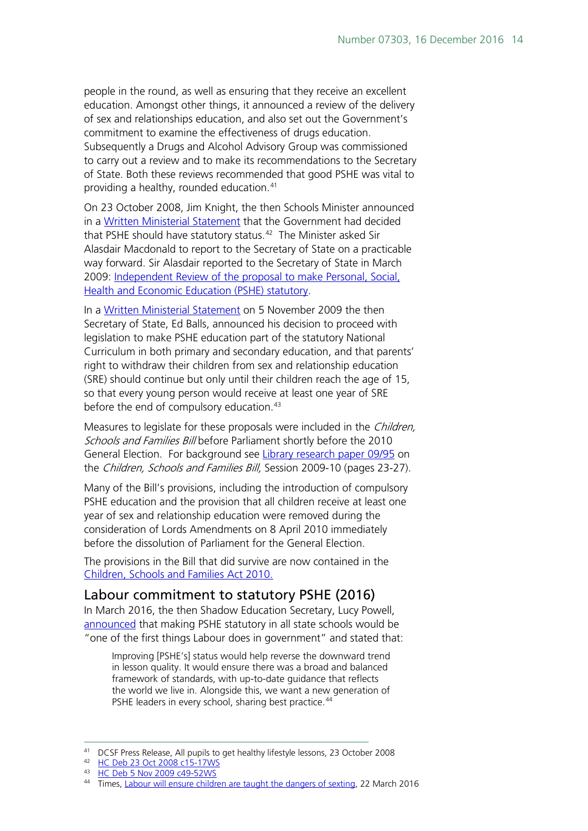people in the round, as well as ensuring that they receive an excellent education. Amongst other things, it announced a review of the delivery of sex and relationships education, and also set out the Government's commitment to examine the effectiveness of drugs education. Subsequently a Drugs and Alcohol Advisory Group was commissioned to carry out a review and to make its recommendations to the Secretary of State. Both these reviews recommended that good PSHE was vital to providing a healthy, rounded education.<sup>[41](#page-13-1)</sup>

On 23 October 2008, Jim Knight, the then Schools Minister announced in a [Written Ministerial Statement](http://www.publications.parliament.uk/pa/cm200708/cmhansrd/cm081023/wmstext/81023m0001.htm#08102337000011) that the Government had decided that PSHE should have statutory status. [42](#page-13-2) The Minister asked Sir Alasdair Macdonald to report to the Secretary of State on a practicable way forward. Sir Alasdair reported to the Secretary of State in March 2009: [Independent Review of the proposal to make Personal, Social,](http://www.educationengland.org.uk/documents/pdfs/2009-macdonald-pshe.pdf)  [Health and Economic Education \(PSHE\) statutory.](http://www.educationengland.org.uk/documents/pdfs/2009-macdonald-pshe.pdf)

In a [Written Ministerial Statement](http://www.publications.parliament.uk/pa/cm200809/cmhansrd/cm091105/wmstext/91105m0001.htm#09110553000010) on 5 November 2009 the then Secretary of State, Ed Balls, announced his decision to proceed with legislation to make PSHE education part of the statutory National Curriculum in both primary and secondary education, and that parents' right to withdraw their children from sex and relationship education (SRE) should continue but only until their children reach the age of 15, so that every young person would receive at least one year of SRE before the end of compulsory education.<sup>[43](#page-13-3)</sup>

Measures to legislate for these proposals were included in the *Children*, Schools and Families Bill before Parliament shortly before the 2010 General Election. For background see [Library research paper 09/95](http://researchbriefings.parliament.uk/ResearchBriefing/Summary/RP09-95) on the Children, Schools and Families Bill, Session 2009-10 (pages 23-27).

Many of the Bill's provisions, including the introduction of compulsory PSHE education and the provision that all children receive at least one year of sex and relationship education were removed during the consideration of Lords Amendments on 8 April 2010 immediately before the dissolution of Parliament for the General Election.

The provisions in the Bill that did survive are now contained in the [Children, Schools and Families Act 2010.](http://www.legislation.gov.uk/ukpga/2010/26/contents)

### <span id="page-13-0"></span>Labour commitment to statutory PSHE (2016)

In March 2016, the then Shadow Education Secretary, Lucy Powell, [announced](http://www.thetimes.co.uk/tto/opinion/thunderer/article4718516.ece) that making PSHE statutory in all state schools would be "one of the first things Labour does in government" and stated that:

Improving [PSHE's] status would help reverse the downward trend in lesson quality. It would ensure there was a broad and balanced framework of standards, with up-to-date guidance that reflects the world we live in. Alongside this, we want a new generation of PSHE leaders in every school, sharing best practice.<sup>[44](#page-13-4)</sup>

 <sup>41</sup> DCSF Press Release, All pupils to get healthy lifestyle lessons, 23 October 2008

<span id="page-13-2"></span><span id="page-13-1"></span><sup>42</sup> [HC Deb 23 Oct 2008 c15-17WS](http://www.publications.parliament.uk/pa/cm200708/cmhansrd/cm081023/wmstext/81023m0001.htm#08102337000011)

<span id="page-13-3"></span><sup>43</sup> [HC Deb 5 Nov 2009 c49-52WS](http://www.publications.parliament.uk/pa/cm200809/cmhansrd/cm091105/wmstext/91105m0001.htm#09110553000010)

<span id="page-13-4"></span><sup>44</sup> Times, [Labour will ensure children are taught the dangers of sexting,](http://www.thetimes.co.uk/tto/opinion/thunderer/article4718516.ece) 22 March 2016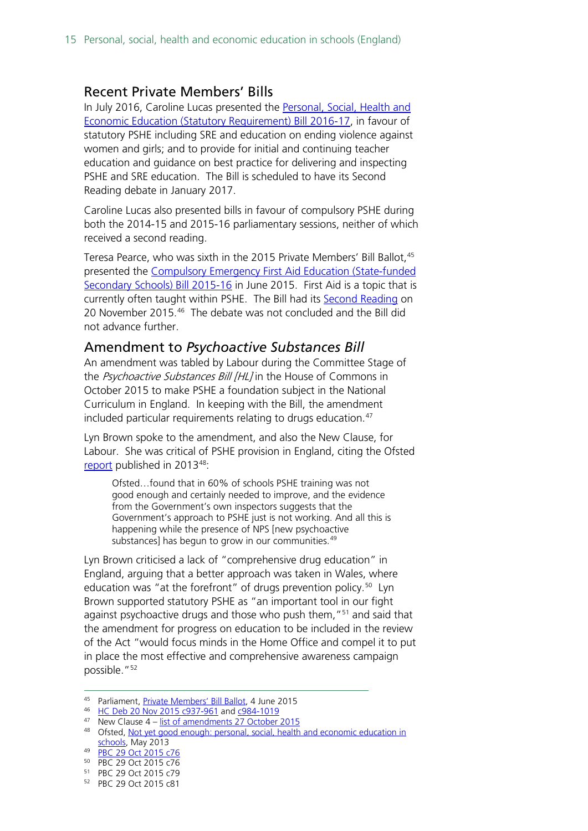#### <span id="page-14-0"></span>Recent Private Members' Bills

In July 2016, Caroline Lucas presented the [Personal, Social, Health and](http://services.parliament.uk/bills/2016-17/personalsocialhealthandeconomiceducationstatutoryrequirement.html)  [Economic Education \(Statutory Requirement\) Bill 2016-17,](http://services.parliament.uk/bills/2016-17/personalsocialhealthandeconomiceducationstatutoryrequirement.html) in favour of statutory PSHE including SRE and education on ending violence against women and girls; and to provide for initial and continuing teacher education and guidance on best practice for delivering and inspecting PSHE and SRE education. The Bill is scheduled to have its Second Reading debate in January 2017.

Caroline Lucas also presented bills in favour of compulsory PSHE during both the 2014-15 and 2015-16 parliamentary sessions, neither of which received a second reading.

Teresa Pearce, who was sixth in the 2015 Private Members' Bill Ballot, <sup>[45](#page-14-2)</sup> presented the [Compulsory Emergency First Aid Education \(State-funded](http://services.parliament.uk/bills/2015-16/compulsoryemergencyfirstaideducationstatefundedsecondaryschools.html)  [Secondary Schools\) Bill 2015-16](http://services.parliament.uk/bills/2015-16/compulsoryemergencyfirstaideducationstatefundedsecondaryschools.html) in June 2015. First Aid is a topic that is currently often taught within PSHE. The Bill had its [Second Reading](http://www.publications.parliament.uk/pa/cm201516/cmhansrd/cm151120/debtext/151120-0001.htm#15112060000001) on 20 November 2015. [46](#page-14-3) The debate was not concluded and the Bill did not advance further.

#### <span id="page-14-1"></span>Amendment to *Psychoactive Substances Bill*

An amendment was tabled by Labour during the Committee Stage of the Psychoactive Substances Bill [HL] in the House of Commons in October 2015 to make PSHE a foundation subject in the National Curriculum in England. In keeping with the Bill, the amendment included particular requirements relating to drugs education.<sup>47</sup>

Lyn Brown spoke to the amendment, and also the New Clause, for Labour. She was critical of PSHE provision in England, citing the Ofsted [report](https://www.gov.uk/government/uploads/system/uploads/attachment_data/file/413178/Not_yet_good_enough_personal__social__health_and_economic_education_in_schools.pdf) published in 2013[48:](#page-14-5)

Ofsted…found that in 60% of schools PSHE training was not good enough and certainly needed to improve, and the evidence from the Government's own inspectors suggests that the Government's approach to PSHE just is not working. And all this is happening while the presence of NPS [new psychoactive substances] has begun to grow in our communities.<sup>[49](#page-14-6)</sup>

Lyn Brown criticised a lack of "comprehensive drug education" in England, arguing that a better approach was taken in Wales, where education was "at the forefront" of drugs prevention policy.<sup>[50](#page-14-7)</sup> Lyn Brown supported statutory PSHE as "an important tool in our fight against psychoactive drugs and those who push them,"<sup>[51](#page-14-8)</sup> and said that the amendment for progress on education to be included in the review of the Act "would focus minds in the Home Office and compel it to put in place the most effective and comprehensive awareness campaign possible."<sup>[52](#page-14-9)</sup>

<span id="page-14-2"></span><sup>45</sup> Parliament[, Private Members' Bill Ballot,](http://www.parliament.uk/business/news/2015/june/private-members-bill-ballot-4-june-2015/) 4 June 2015

<span id="page-14-3"></span><sup>46</sup> [HC Deb 20 Nov 2015 c937-961](http://www.publications.parliament.uk/pa/cm201516/cmhansrd/cm151120/debtext/151120-0001.htm#15112060000001) and [c984-1019](http://www.publications.parliament.uk/pa/cm201516/cmhansrd/cm151120/debtext/151120-0002.htm#15112060000003)

<span id="page-14-4"></span> $47$  New Clause  $4 -$  [list of amendments 27 October 2015](http://www.publications.parliament.uk/pa/bills/cbill/2015-2016/0063/amend/pbc0632710m.1-7.pdf)

<span id="page-14-5"></span><sup>48</sup> Ofsted, Not yet good enough: personal, social, health and economic education in [schools,](https://www.gov.uk/government/uploads/system/uploads/attachment_data/file/413178/Not_yet_good_enough_personal__social__health_and_economic_education_in_schools.pdf) May 2013

<span id="page-14-6"></span><sup>49</sup> [PBC 29 Oct 2015 c76](http://www.publications.parliament.uk/pa/cm201516/cmpublic/psychoactive/151029/am/151029s01.htm)

<span id="page-14-7"></span><sup>50</sup> PBC 29 Oct 2015 c76

<span id="page-14-8"></span><sup>51</sup> PBC 29 Oct 2015 c79

<span id="page-14-9"></span><sup>52</sup> PBC 29 Oct 2015 c81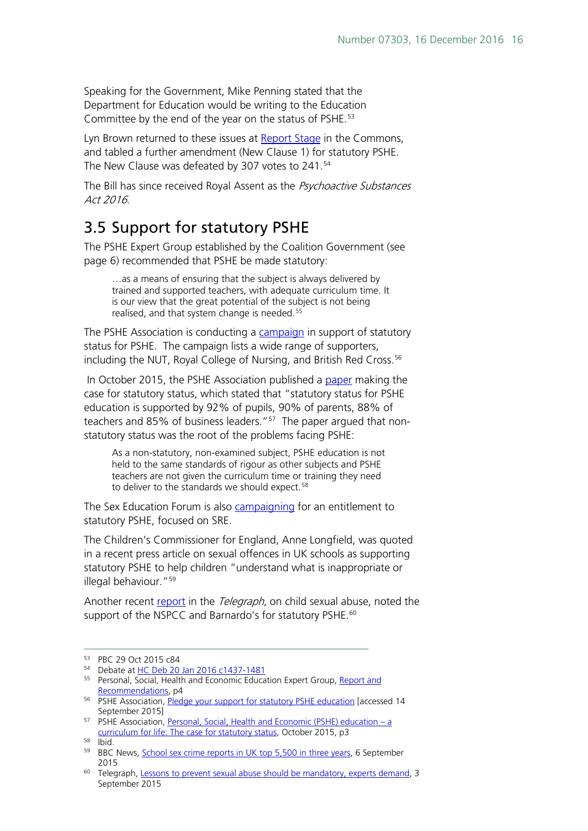Speaking for the Government, Mike Penning stated that the Department for Education would be writing to the Education Committee by the end of the year on the status of PSHE.<sup>[53](#page-15-1)</sup>

Lyn Brown returned to these issues at [Report Stage](http://www.publications.parliament.uk/pa/cm201516/cmhansrd/cm160120/debtext/160120-0001.htm#16012033000003) in the Commons, and tabled a further amendment (New Clause 1) for statutory PSHE. The New Clause was defeated by 307 votes to 241.<sup>[54](#page-15-2)</sup>

The Bill has since received Royal Assent as the Psychoactive Substances Act 2016.

## <span id="page-15-0"></span>3.5 Support for statutory PSHE

The PSHE Expert Group established by the Coalition Government (see page 6) recommended that PSHE be made statutory:

…as a means of ensuring that the subject is always delivered by trained and supported teachers, with adequate curriculum time. It is our view that the great potential of the subject is not being realised, and that system change is needed.<sup>[55](#page-15-3)</sup>

The PSHE Association is conducting a [campaign](https://pshe-association.org.uk/content.aspx?CategoryID=1183&ArticleID=1144) in support of statutory status for PSHE. The campaign lists a wide range of supporters, including the NUT, Royal College of Nursing, and British Red Cross.<sup>[56](#page-15-4)</sup>

In October 2015, the PSHE Association published a [paper](https://pshe-association.org.uk/uploads/media/17/8230.pdf) making the case for statutory status, which stated that "statutory status for PSHE education is supported by 92% of pupils, 90% of parents, 88% of teachers and 85% of business leaders."<sup>[57](#page-15-5)</sup> The paper argued that nonstatutory status was the root of the problems facing PSHE:

As a non-statutory, non-examined subject, PSHE education is not held to the same standards of rigour as other subjects and PSHE teachers are not given the curriculum time or training they need to deliver to the standards we should expect.<sup>[58](#page-15-6)</sup>

The Sex Education Forum is also [campaigning](http://www.sexeducationforum.org.uk/its-my-right) for an entitlement to statutory PSHE, focused on SRE.

The Children's Commissioner for England, Anne Longfield, was quoted in a recent press article on sexual offences in UK schools as supporting statutory PSHE to help children "understand what is inappropriate or illegal behaviour."[59](#page-15-7)

Another recent [report](http://www.telegraph.co.uk/education/educationnews/11841330/Lessons-to-prevent-sexual-abuse-should-be-mandatory-experts-demand.html) in the Telegraph, on child sexual abuse, noted the support of the NSPCC and Barnardo's for statutory PSHE.<sup>[60](#page-15-8)</sup>

<span id="page-15-1"></span> <sup>53</sup> PBC 29 Oct 2015 c84

<span id="page-15-2"></span><sup>54</sup> Debate at [HC Deb 20 Jan 2016 c1437-1481](http://www.publications.parliament.uk/pa/cm201516/cmhansrd/cm160120/debtext/160120-0001.htm#16012033000003)

<span id="page-15-3"></span><sup>&</sup>lt;sup>55</sup> Personal, Social, Health and Economic Education Expert Group, Report and [Recommendations,](https://pshe-association.org.uk/uploads/media/17/8025.pdf) p4

<span id="page-15-4"></span><sup>&</sup>lt;sup>56</sup> PSHE Association, [Pledge your support for statutory PSHE education](https://pshe-association.org.uk/content.aspx?CategoryID=1183&ArticleID=1144) [accessed 14 September 2015]

<span id="page-15-5"></span><sup>&</sup>lt;sup>57</sup> PSHE Association, [Personal, Social, Health and Economic \(PSHE\) education –](https://pshe-association.org.uk/uploads/media/17/8230.pdf) a [curriculum for life: The case for statutory status,](https://pshe-association.org.uk/uploads/media/17/8230.pdf) October 2015, p3

<span id="page-15-6"></span><sup>58</sup> Ibid.

<span id="page-15-7"></span><sup>59</sup> BBC News, [School sex crime reports in UK top 5,500 in three years,](http://www.bbc.co.uk/news/education-34138287) 6 September 2015

<span id="page-15-8"></span><sup>&</sup>lt;sup>60</sup> Telegraph, [Lessons to prevent sexual abuse should be mandatory, experts demand,](http://www.telegraph.co.uk/education/educationnews/11841330/Lessons-to-prevent-sexual-abuse-should-be-mandatory-experts-demand.html) 3 September 2015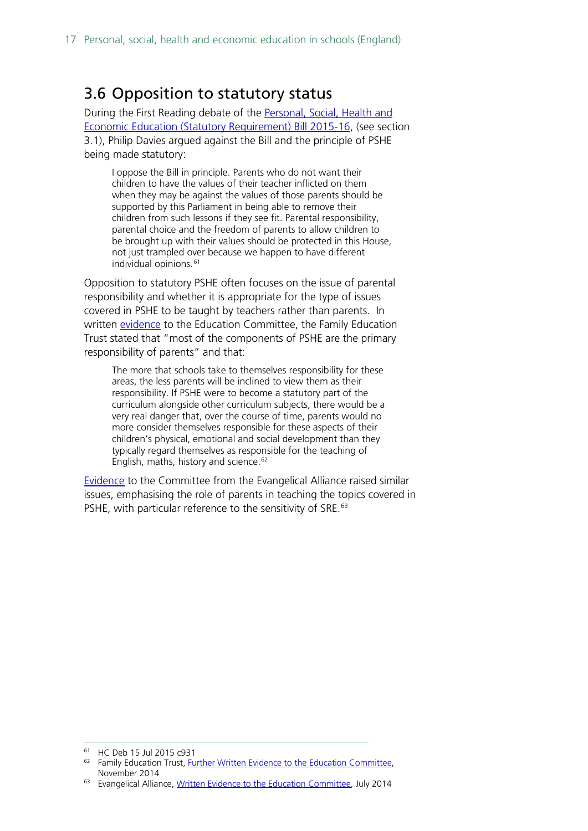## <span id="page-16-0"></span>3.6 Opposition to statutory status

During the First Reading debate of the Personal, Social, Health and [Economic Education \(Statutory Requirement\) Bill 2015-16,](http://services.parliament.uk/bills/2015-16/personalsocialhealthandeconomiceducationstatutoryrequirement.html) (see section 3.1), Philip Davies argued against the Bill and the principle of PSHE being made statutory:

I oppose the Bill in principle. Parents who do not want their children to have the values of their teacher inflicted on them when they may be against the values of those parents should be supported by this Parliament in being able to remove their children from such lessons if they see fit. Parental responsibility, parental choice and the freedom of parents to allow children to be brought up with their values should be protected in this House, not just trampled over because we happen to have different individual opinions.<sup>[61](#page-16-1)</sup>

Opposition to statutory PSHE often focuses on the issue of parental responsibility and whether it is appropriate for the type of issues covered in PSHE to be taught by teachers rather than parents. In written [evidence](http://data.parliament.uk/writtenevidence/committeeevidence.svc/evidencedocument/education-committee/personal-social-health-and-economic-education-and-sex-and-relationships-education-in-schools/written/15451.pdf) to the Education Committee, the Family Education Trust stated that "most of the components of PSHE are the primary responsibility of parents" and that:

The more that schools take to themselves responsibility for these areas, the less parents will be inclined to view them as their responsibility. If PSHE were to become a statutory part of the curriculum alongside other curriculum subjects, there would be a very real danger that, over the course of time, parents would no more consider themselves responsible for these aspects of their children's physical, emotional and social development than they typically regard themselves as responsible for the teaching of English, maths, history and science.<sup>[62](#page-16-2)</sup>

[Evidence](http://data.parliament.uk/writtenevidence/committeeevidence.svc/evidencedocument/education-committee/personal-social-health-and-economic-education-and-sex-and-relationships-education-in-schools/written/10091.pdf) to the Committee from the Evangelical Alliance raised similar issues, emphasising the role of parents in teaching the topics covered in PSHE, with particular reference to the sensitivity of SRE.<sup>[63](#page-16-3)</sup>

<span id="page-16-1"></span> <sup>61</sup> HC Deb 15 Jul 2015 c931

<span id="page-16-2"></span><sup>&</sup>lt;sup>62</sup> Family Education Trust, [Further Written Evidence to the Education Committee,](http://data.parliament.uk/writtenevidence/committeeevidence.svc/evidencedocument/education-committee/personal-social-health-and-economic-education-and-sex-and-relationships-education-in-schools/written/15451.pdf) November 2014

<span id="page-16-3"></span><sup>&</sup>lt;sup>63</sup> Evangelical Alliance[, Written Evidence to the Education Committee,](http://data.parliament.uk/writtenevidence/committeeevidence.svc/evidencedocument/education-committee/personal-social-health-and-economic-education-and-sex-and-relationships-education-in-schools/written/10091.pdf) July 2014